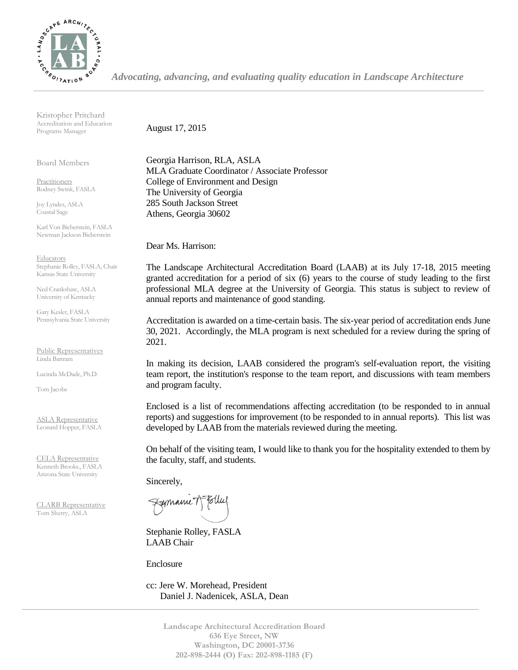

*Advocating, advancing, and evaluating quality education in Landscape Architecture*

Kristopher Pritchard Accreditation and Education Programs Manager

Board Members

Practitioners Rodney Swink, FASLA

Joy Lyndes, ASLA Coastal Sage

Karl Von Bieberstein, FASLA Newman Jackson Bieberstein

**Educators** Stephanie Rolley, FASLA, Chair Kansas State University

Ned Crankshaw, ASLA University of Kentucky

Gary Kesler, FASLA Pennsylvania State University

Public Representatives Linda Battram

Lucinda McDade, Ph.D.

Tom Jacobs

ASLA Representative Leonard Hopper, FASLA

CELA Representative Kenneth Brooks., FASLA Arizona State University

CLARB Representative Tom Sherry, ASLA

August 17, 2015

Georgia Harrison, RLA, ASLA MLA Graduate Coordinator / Associate Professor College of Environment and Design The University of Georgia 285 South Jackson Street Athens, Georgia 30602

Dear Ms. Harrison:

The Landscape Architectural Accreditation Board (LAAB) at its July 17-18, 2015 meeting granted accreditation for a period of six (6) years to the course of study leading to the first professional MLA degree at the University of Georgia. This status is subject to review of annual reports and maintenance of good standing.

Accreditation is awarded on a time-certain basis. The six-year period of accreditation ends June 30, 2021. Accordingly, the MLA program is next scheduled for a review during the spring of 2021.

In making its decision, LAAB considered the program's self-evaluation report, the visiting team report, the institution's response to the team report, and discussions with team members and program faculty.

Enclosed is a list of recommendations affecting accreditation (to be responded to in annual reports) and suggestions for improvement (to be responded to in annual reports). This list was developed by LAAB from the materials reviewed during the meeting.

On behalf of the visiting team, I would like to thank you for the hospitality extended to them by the faculty, staff, and students.

Sincerely,

Fremanne T

Stephanie Rolley, FASLA LAAB Chair

Enclosure

cc: Jere W. Morehead, President Daniel J. Nadenicek, ASLA, Dean

> **Landscape Architectural Accreditation Board 636 Eye Street, NW Washington, DC 20001-3736 202-898-2444 (O) Fax: 202-898-1185 (F)**